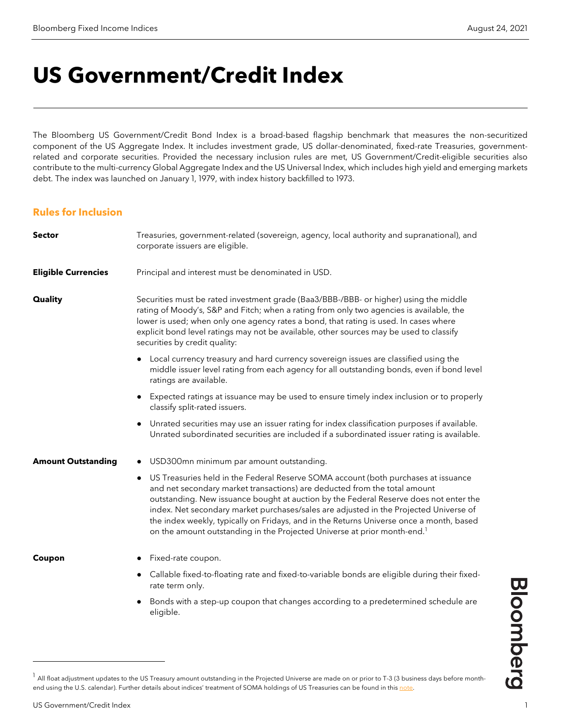# **US Government/Credit Index**

The Bloomberg US Government/Credit Bond Index is a broad-based flagship benchmark that measures the non-securitized component of the US Aggregate Index. It includes investment grade, US dollar-denominated, fixed-rate Treasuries, governmentrelated and corporate securities. Provided the necessary inclusion rules are met, US Government/Credit-eligible securities also contribute to the multi-currency Global Aggregate Index and the US Universal Index, which includes high yield and emerging markets debt. The index was launched on January 1, 1979, with index history backfilled to 1973.

#### **Rules for Inclusion**

| <b>Sector</b>              | Treasuries, government-related (sovereign, agency, local authority and supranational), and<br>corporate issuers are eligible.                                                                                                                                                                                                                                                                                                                                                                                                                     |
|----------------------------|---------------------------------------------------------------------------------------------------------------------------------------------------------------------------------------------------------------------------------------------------------------------------------------------------------------------------------------------------------------------------------------------------------------------------------------------------------------------------------------------------------------------------------------------------|
| <b>Eligible Currencies</b> | Principal and interest must be denominated in USD.                                                                                                                                                                                                                                                                                                                                                                                                                                                                                                |
| <b>Quality</b>             | Securities must be rated investment grade (Baa3/BBB-/BBB- or higher) using the middle<br>rating of Moody's, S&P and Fitch; when a rating from only two agencies is available, the<br>lower is used; when only one agency rates a bond, that rating is used. In cases where<br>explicit bond level ratings may not be available, other sources may be used to classify<br>securities by credit quality:                                                                                                                                            |
|                            | Local currency treasury and hard currency sovereign issues are classified using the<br>$\bullet$<br>middle issuer level rating from each agency for all outstanding bonds, even if bond level<br>ratings are available.                                                                                                                                                                                                                                                                                                                           |
|                            | Expected ratings at issuance may be used to ensure timely index inclusion or to properly<br>$\bullet$<br>classify split-rated issuers.                                                                                                                                                                                                                                                                                                                                                                                                            |
|                            | • Unrated securities may use an issuer rating for index classification purposes if available.<br>Unrated subordinated securities are included if a subordinated issuer rating is available.                                                                                                                                                                                                                                                                                                                                                       |
| <b>Amount Outstanding</b>  | • USD300mn minimum par amount outstanding.                                                                                                                                                                                                                                                                                                                                                                                                                                                                                                        |
|                            | US Treasuries held in the Federal Reserve SOMA account (both purchases at issuance<br>$\bullet$<br>and net secondary market transactions) are deducted from the total amount<br>outstanding. New issuance bought at auction by the Federal Reserve does not enter the<br>index. Net secondary market purchases/sales are adjusted in the Projected Universe of<br>the index weekly, typically on Fridays, and in the Returns Universe once a month, based<br>on the amount outstanding in the Projected Universe at prior month-end. <sup>1</sup> |
| Coupon                     | Fixed-rate coupon.<br>$\bullet$                                                                                                                                                                                                                                                                                                                                                                                                                                                                                                                   |
|                            | Callable fixed-to-floating rate and fixed-to-variable bonds are eligible during their fixed-<br>$\bullet$<br>rate term only.                                                                                                                                                                                                                                                                                                                                                                                                                      |
|                            | Bonds with a step-up coupon that changes according to a predetermined schedule are<br>$\bullet$<br>eligible.                                                                                                                                                                                                                                                                                                                                                                                                                                      |

**Bloomberg** 

<span id="page-0-0"></span><sup>&</sup>lt;sup>1</sup> All float adjustment updates to the US Treasury amount outstanding in the Projected Universe are made on or prior to T-3 (3 business days before monthend using the U.S. calendar). Further details about indices' treatment of SOMA holdings of US Treasuries can be found in thi[s note.](https://blinks.bloomberg.com/news/stories/Q9GRD8DWLU6K)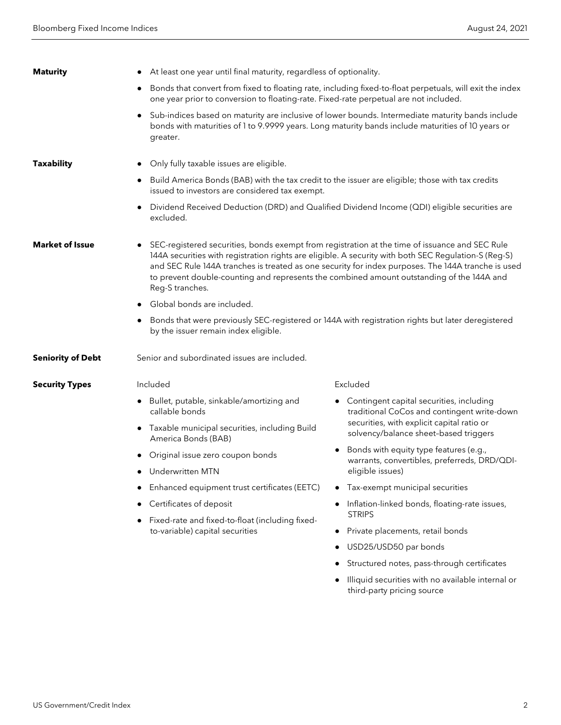| <b>Maturity</b>          | At least one year until final maturity, regardless of optionality.                                                                                                                                                                                                                                                                                                                                                           |                                                                                                                                                                                                       |  |
|--------------------------|------------------------------------------------------------------------------------------------------------------------------------------------------------------------------------------------------------------------------------------------------------------------------------------------------------------------------------------------------------------------------------------------------------------------------|-------------------------------------------------------------------------------------------------------------------------------------------------------------------------------------------------------|--|
|                          | Bonds that convert from fixed to floating rate, including fixed-to-float perpetuals, will exit the index<br>one year prior to conversion to floating-rate. Fixed-rate perpetual are not included.                                                                                                                                                                                                                            |                                                                                                                                                                                                       |  |
|                          | greater.                                                                                                                                                                                                                                                                                                                                                                                                                     | Sub-indices based on maturity are inclusive of lower bounds. Intermediate maturity bands include<br>bonds with maturities of 1 to 9.9999 years. Long maturity bands include maturities of 10 years or |  |
| <b>Taxability</b>        | Only fully taxable issues are eligible.                                                                                                                                                                                                                                                                                                                                                                                      |                                                                                                                                                                                                       |  |
|                          | Build America Bonds (BAB) with the tax credit to the issuer are eligible; those with tax credits<br>issued to investors are considered tax exempt.                                                                                                                                                                                                                                                                           |                                                                                                                                                                                                       |  |
|                          | Dividend Received Deduction (DRD) and Qualified Dividend Income (QDI) eligible securities are<br>excluded.                                                                                                                                                                                                                                                                                                                   |                                                                                                                                                                                                       |  |
| <b>Market of Issue</b>   | SEC-registered securities, bonds exempt from registration at the time of issuance and SEC Rule<br>144A securities with registration rights are eligible. A security with both SEC Regulation-S (Reg-S)<br>and SEC Rule 144A tranches is treated as one security for index purposes. The 144A tranche is used<br>to prevent double-counting and represents the combined amount outstanding of the 144A and<br>Reg-S tranches. |                                                                                                                                                                                                       |  |
|                          | Global bonds are included.                                                                                                                                                                                                                                                                                                                                                                                                   |                                                                                                                                                                                                       |  |
|                          | by the issuer remain index eligible.                                                                                                                                                                                                                                                                                                                                                                                         | Bonds that were previously SEC-registered or 144A with registration rights but later deregistered                                                                                                     |  |
| <b>Seniority of Debt</b> | Senior and subordinated issues are included.                                                                                                                                                                                                                                                                                                                                                                                 |                                                                                                                                                                                                       |  |
| <b>Security Types</b>    | Included                                                                                                                                                                                                                                                                                                                                                                                                                     | Excluded                                                                                                                                                                                              |  |
|                          | • Bullet, putable, sinkable/amortizing and<br>callable bonds                                                                                                                                                                                                                                                                                                                                                                 | • Contingent capital securities, including<br>traditional CoCos and contingent write-down                                                                                                             |  |
|                          | Taxable municipal securities, including Build<br>America Bonds (BAB)                                                                                                                                                                                                                                                                                                                                                         | securities, with explicit capital ratio or<br>solvency/balance sheet-based triggers                                                                                                                   |  |
|                          | • Original issue zero coupon bonds                                                                                                                                                                                                                                                                                                                                                                                           | Bonds with equity type features (e.g.,                                                                                                                                                                |  |
|                          | Underwritten MTN                                                                                                                                                                                                                                                                                                                                                                                                             | warrants, convertibles, preferreds, DRD/QDI-<br>eligible issues)                                                                                                                                      |  |
|                          | Enhanced equipment trust certificates (EETC)<br>$\bullet$                                                                                                                                                                                                                                                                                                                                                                    | • Tax-exempt municipal securities                                                                                                                                                                     |  |
|                          | Certificates of deposit                                                                                                                                                                                                                                                                                                                                                                                                      | Inflation-linked bonds, floating-rate issues,                                                                                                                                                         |  |
|                          | Fixed-rate and fixed-to-float (including fixed-<br>to-variable) capital securities                                                                                                                                                                                                                                                                                                                                           | <b>STRIPS</b>                                                                                                                                                                                         |  |
|                          |                                                                                                                                                                                                                                                                                                                                                                                                                              | Private placements, retail bonds                                                                                                                                                                      |  |
|                          |                                                                                                                                                                                                                                                                                                                                                                                                                              | USD25/USD50 par bonds                                                                                                                                                                                 |  |
|                          |                                                                                                                                                                                                                                                                                                                                                                                                                              | Structured notes, pass-through certificates                                                                                                                                                           |  |
|                          |                                                                                                                                                                                                                                                                                                                                                                                                                              | Illiquid securities with no available internal or<br>third-party pricing source                                                                                                                       |  |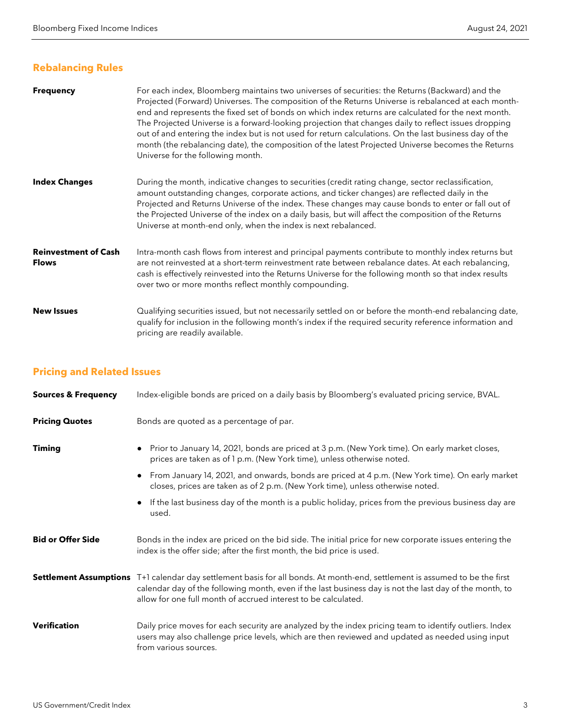# **Rebalancing Rules**

| <b>Frequency</b>                            | For each index, Bloomberg maintains two universes of securities: the Returns (Backward) and the<br>Projected (Forward) Universes. The composition of the Returns Universe is rebalanced at each month-<br>end and represents the fixed set of bonds on which index returns are calculated for the next month.<br>The Projected Universe is a forward-looking projection that changes daily to reflect issues dropping<br>out of and entering the index but is not used for return calculations. On the last business day of the<br>month (the rebalancing date), the composition of the latest Projected Universe becomes the Returns<br>Universe for the following month. |
|---------------------------------------------|----------------------------------------------------------------------------------------------------------------------------------------------------------------------------------------------------------------------------------------------------------------------------------------------------------------------------------------------------------------------------------------------------------------------------------------------------------------------------------------------------------------------------------------------------------------------------------------------------------------------------------------------------------------------------|
| <b>Index Changes</b>                        | During the month, indicative changes to securities (credit rating change, sector reclassification,<br>amount outstanding changes, corporate actions, and ticker changes) are reflected daily in the<br>Projected and Returns Universe of the index. These changes may cause bonds to enter or fall out of<br>the Projected Universe of the index on a daily basis, but will affect the composition of the Returns<br>Universe at month-end only, when the index is next rebalanced.                                                                                                                                                                                        |
| <b>Reinvestment of Cash</b><br><b>Flows</b> | Intra-month cash flows from interest and principal payments contribute to monthly index returns but<br>are not reinvested at a short-term reinvestment rate between rebalance dates. At each rebalancing,<br>cash is effectively reinvested into the Returns Universe for the following month so that index results<br>over two or more months reflect monthly compounding.                                                                                                                                                                                                                                                                                                |
| <b>New Issues</b>                           | Qualifying securities issued, but not necessarily settled on or before the month-end rebalancing date,<br>qualify for inclusion in the following month's index if the required security reference information and<br>pricing are readily available.                                                                                                                                                                                                                                                                                                                                                                                                                        |

# **Pricing and Related Issues**

| <b>Sources &amp; Frequency</b> | Index-eligible bonds are priced on a daily basis by Bloomberg's evaluated pricing service, BVAL.                                                                                                                                                                                                         |
|--------------------------------|----------------------------------------------------------------------------------------------------------------------------------------------------------------------------------------------------------------------------------------------------------------------------------------------------------|
| <b>Pricing Quotes</b>          | Bonds are quoted as a percentage of par.                                                                                                                                                                                                                                                                 |
| <b>Timing</b>                  | Prior to January 14, 2021, bonds are priced at 3 p.m. (New York time). On early market closes,<br>$\bullet$<br>prices are taken as of 1 p.m. (New York time), unless otherwise noted.                                                                                                                    |
|                                | From January 14, 2021, and onwards, bonds are priced at 4 p.m. (New York time). On early market<br>$\bullet$<br>closes, prices are taken as of 2 p.m. (New York time), unless otherwise noted.                                                                                                           |
|                                | If the last business day of the month is a public holiday, prices from the previous business day are<br>$\bullet$<br>used.                                                                                                                                                                               |
| <b>Bid or Offer Side</b>       | Bonds in the index are priced on the bid side. The initial price for new corporate issues entering the<br>index is the offer side; after the first month, the bid price is used.                                                                                                                         |
|                                | Settlement Assumptions T+1 calendar day settlement basis for all bonds. At month-end, settlement is assumed to be the first<br>calendar day of the following month, even if the last business day is not the last day of the month, to<br>allow for one full month of accrued interest to be calculated. |
| <b>Verification</b>            | Daily price moves for each security are analyzed by the index pricing team to identify outliers. Index<br>users may also challenge price levels, which are then reviewed and updated as needed using input<br>from various sources.                                                                      |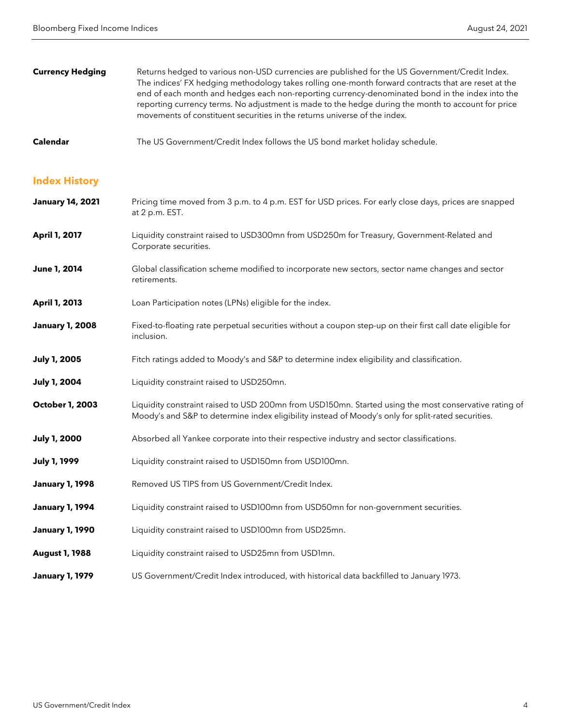| <b>Currency Hedging</b> | Returns hedged to various non-USD currencies are published for the US Government/Credit Index.<br>The indices' FX hedging methodology takes rolling one-month forward contracts that are reset at the<br>end of each month and hedges each non-reporting currency-denominated bond in the index into the<br>reporting currency terms. No adjustment is made to the hedge during the month to account for price<br>movements of constituent securities in the returns universe of the index. |
|-------------------------|---------------------------------------------------------------------------------------------------------------------------------------------------------------------------------------------------------------------------------------------------------------------------------------------------------------------------------------------------------------------------------------------------------------------------------------------------------------------------------------------|
| <b>Calendar</b>         | The US Government/Credit Index follows the US bond market holiday schedule.                                                                                                                                                                                                                                                                                                                                                                                                                 |
| <b>Index History</b>    |                                                                                                                                                                                                                                                                                                                                                                                                                                                                                             |
| <b>January 14, 2021</b> | Pricing time moved from 3 p.m. to 4 p.m. EST for USD prices. For early close days, prices are snapped<br>at 2 p.m. EST.                                                                                                                                                                                                                                                                                                                                                                     |
| <b>April 1, 2017</b>    | Liquidity constraint raised to USD300mn from USD250m for Treasury, Government-Related and                                                                                                                                                                                                                                                                                                                                                                                                   |

- Corporate securities. **June 1, 2014** Global classification scheme modified to incorporate new sectors, sector name changes and sector
- **April 1, 2013** Loan Participation notes (LPNs) eligible for the index.
- **January 1, 2008** Fixed-to-floating rate perpetual securities without a coupon step-up on their first call date eligible for inclusion.
- **July 1, 2005** Fitch ratings added to Moody's and S&P to determine index eligibility and classification.
- **July 1, 2004** Liquidity constraint raised to USD250mn.

retirements.

- **October 1, 2003** Liquidity constraint raised to USD 200mn from USD150mn. Started using the most conservative rating of Moody's and S&P to determine index eligibility instead of Moody's only for split-rated securities.
- **July 1, 2000** Absorbed all Yankee corporate into their respective industry and sector classifications.
- **July 1, 1999** Liquidity constraint raised to USD150mn from USD100mn.
- January 1, 1998 Removed US TIPS from US Government/Credit Index.
- **January 1, 1994** Liquidity constraint raised to USD100mn from USD50mn for non-government securities.
- **January 1, 1990** Liquidity constraint raised to USD100mn from USD25mn.
- **August 1, 1988** Liquidity constraint raised to USD25mn from USD1mn.
- **January 1, 1979** US Government/Credit Index introduced, with historical data backfilled to January 1973.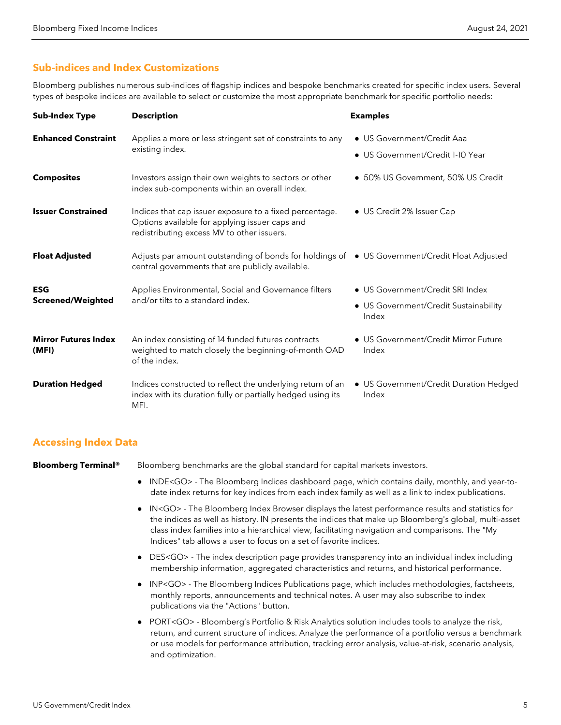### **Sub-indices and Index Customizations**

Bloomberg publishes numerous sub-indices of flagship indices and bespoke benchmarks created for specific index users. Several types of bespoke indices are available to select or customize the most appropriate benchmark for specific portfolio needs:

| <b>Sub-Index Type</b>                  | <b>Description</b>                                                                                                                                      | <b>Examples</b>                                                                    |
|----------------------------------------|---------------------------------------------------------------------------------------------------------------------------------------------------------|------------------------------------------------------------------------------------|
| <b>Enhanced Constraint</b>             | Applies a more or less stringent set of constraints to any<br>existing index.                                                                           | • US Government/Credit Aaa<br>• US Government/Credit 1-10 Year                     |
| <b>Composites</b>                      | Investors assign their own weights to sectors or other<br>index sub-components within an overall index.                                                 | • 50% US Government, 50% US Credit                                                 |
| <b>Issuer Constrained</b>              | Indices that cap issuer exposure to a fixed percentage.<br>Options available for applying issuer caps and<br>redistributing excess MV to other issuers. | • US Credit 2% Issuer Cap                                                          |
| <b>Float Adjusted</b>                  | Adjusts par amount outstanding of bonds for holdings of • US Government/Credit Float Adjusted<br>central governments that are publicly available.       |                                                                                    |
| <b>ESG</b><br><b>Screened/Weighted</b> | Applies Environmental, Social and Governance filters<br>and/or tilts to a standard index.                                                               | • US Government/Credit SRI Index<br>• US Government/Credit Sustainability<br>Index |
| <b>Mirror Futures Index</b><br>(MFI)   | An index consisting of 14 funded futures contracts<br>weighted to match closely the beginning-of-month OAD<br>of the index.                             | • US Government/Credit Mirror Future<br>Index                                      |
| <b>Duration Hedged</b>                 | Indices constructed to reflect the underlying return of an<br>index with its duration fully or partially hedged using its<br>MFI.                       | • US Government/Credit Duration Hedged<br>Index                                    |

#### **Accessing Index Data**

**Bloomberg Terminal®** Bloomberg benchmarks are the global standard for capital markets investors.

- INDE<GO> The Bloomberg Indices dashboard page, which contains daily, monthly, and year-todate index returns for key indices from each index family as well as a link to index publications.
- IN<GO> The Bloomberg Index Browser displays the latest performance results and statistics for the indices as well as history. IN presents the indices that make up Bloomberg's global, multi-asset class index families into a hierarchical view, facilitating navigation and comparisons. The "My Indices" tab allows a user to focus on a set of favorite indices.
- DES<GO> The index description page provides transparency into an individual index including membership information, aggregated characteristics and returns, and historical performance.
- INP<GO> The Bloomberg Indices Publications page, which includes methodologies, factsheets, monthly reports, announcements and technical notes. A user may also subscribe to index publications via the "Actions" button.
- PORT<GO> Bloomberg's Portfolio & Risk Analytics solution includes tools to analyze the risk, return, and current structure of indices. Analyze the performance of a portfolio versus a benchmark or use models for performance attribution, tracking error analysis, value-at-risk, scenario analysis, and optimization.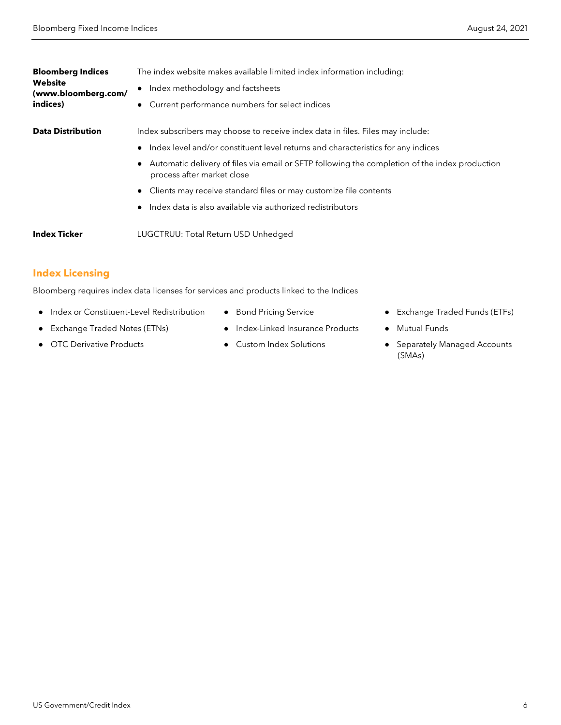| <b>Bloomberg Indices</b>              | The index website makes available limited index information including:                                                       |
|---------------------------------------|------------------------------------------------------------------------------------------------------------------------------|
| <b>Website</b><br>(www.bloomberg.com/ | Index methodology and factsheets                                                                                             |
| indices)                              | • Current performance numbers for select indices                                                                             |
| <b>Data Distribution</b>              | Index subscribers may choose to receive index data in files. Files may include:                                              |
|                                       | Index level and/or constituent level returns and characteristics for any indices                                             |
|                                       | Automatic delivery of files via email or SFTP following the completion of the index production<br>process after market close |
|                                       | Clients may receive standard files or may customize file contents                                                            |
|                                       | Index data is also available via authorized redistributors                                                                   |
| <b>Index Ticker</b>                   | LUGCTRUU: Total Return USD Unhedged                                                                                          |

## **Index Licensing**

Bloomberg requires index data licenses for services and products linked to the Indices

- Index or Constituent-Level Redistribution
- Exchange Traded Notes (ETNs)
- OTC Derivative Products
- Bond Pricing Service
- Index-Linked Insurance Products
- Custom Index Solutions
- Exchange Traded Funds (ETFs)
- Mutual Funds
- Separately Managed Accounts (SMAs)